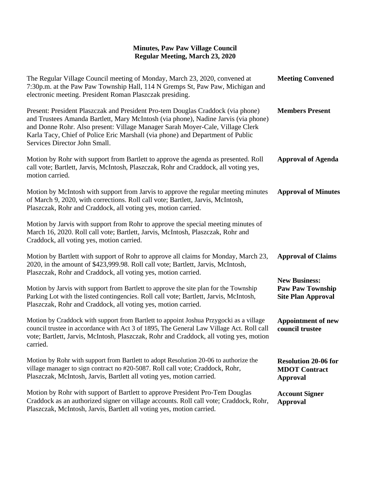## **Minutes, Paw Paw Village Council Regular Meeting, March 23, 2020**

| The Regular Village Council meeting of Monday, March 23, 2020, convened at<br>7:30p.m. at the Paw Paw Township Hall, 114 N Gremps St, Paw Paw, Michigan and<br>electronic meeting. President Roman Plaszczak presiding.                                                                                                                                                   | <b>Meeting Convened</b>                                                      |
|---------------------------------------------------------------------------------------------------------------------------------------------------------------------------------------------------------------------------------------------------------------------------------------------------------------------------------------------------------------------------|------------------------------------------------------------------------------|
| Present: President Plaszczak and President Pro-tem Douglas Craddock (via phone)<br>and Trustees Amanda Bartlett, Mary McIntosh (via phone), Nadine Jarvis (via phone)<br>and Donne Rohr. Also present: Village Manager Sarah Moyer-Cale, Village Clerk<br>Karla Tacy, Chief of Police Eric Marshall (via phone) and Department of Public<br>Services Director John Small. | <b>Members Present</b>                                                       |
| Motion by Rohr with support from Bartlett to approve the agenda as presented. Roll<br>call vote; Bartlett, Jarvis, McIntosh, Plaszczak, Rohr and Craddock, all voting yes,<br>motion carried.                                                                                                                                                                             | <b>Approval of Agenda</b>                                                    |
| Motion by McIntosh with support from Jarvis to approve the regular meeting minutes<br>of March 9, 2020, with corrections. Roll call vote; Bartlett, Jarvis, McIntosh,<br>Plaszczak, Rohr and Craddock, all voting yes, motion carried.                                                                                                                                    | <b>Approval of Minutes</b>                                                   |
| Motion by Jarvis with support from Rohr to approve the special meeting minutes of<br>March 16, 2020. Roll call vote; Bartlett, Jarvis, McIntosh, Plaszczak, Rohr and<br>Craddock, all voting yes, motion carried.                                                                                                                                                         |                                                                              |
| Motion by Bartlett with support of Rohr to approve all claims for Monday, March 23,<br>2020, in the amount of \$423,999.98. Roll call vote; Bartlett, Jarvis, McIntosh,<br>Plaszczak, Rohr and Craddock, all voting yes, motion carried.                                                                                                                                  | <b>Approval of Claims</b>                                                    |
| Motion by Jarvis with support from Bartlett to approve the site plan for the Township<br>Parking Lot with the listed contingencies. Roll call vote; Bartlett, Jarvis, McIntosh,<br>Plaszczak, Rohr and Craddock, all voting yes, motion carried.                                                                                                                          | <b>New Business:</b><br><b>Paw Paw Township</b><br><b>Site Plan Approval</b> |
| Motion by Craddock with support from Bartlett to appoint Joshua Przygocki as a village<br>council trustee in accordance with Act 3 of 1895, The General Law Village Act. Roll call<br>vote; Bartlett, Jarvis, McIntosh, Plaszczak, Rohr and Craddock, all voting yes, motion<br>carried.                                                                                  | <b>Appointment of new</b><br>council trustee                                 |
| Motion by Rohr with support from Bartlett to adopt Resolution 20-06 to authorize the<br>village manager to sign contract no #20-5087. Roll call vote; Craddock, Rohr,<br>Plaszczak, McIntosh, Jarvis, Bartlett all voting yes, motion carried.                                                                                                                            | <b>Resolution 20-06 for</b><br><b>MDOT</b> Contract<br><b>Approval</b>       |
| Motion by Rohr with support of Bartlett to approve President Pro-Tem Douglas<br>Craddock as an authorized signer on village accounts. Roll call vote; Craddock, Rohr,<br>Plaszczak, McIntosh, Jarvis, Bartlett all voting yes, motion carried.                                                                                                                            | <b>Account Signer</b><br><b>Approval</b>                                     |